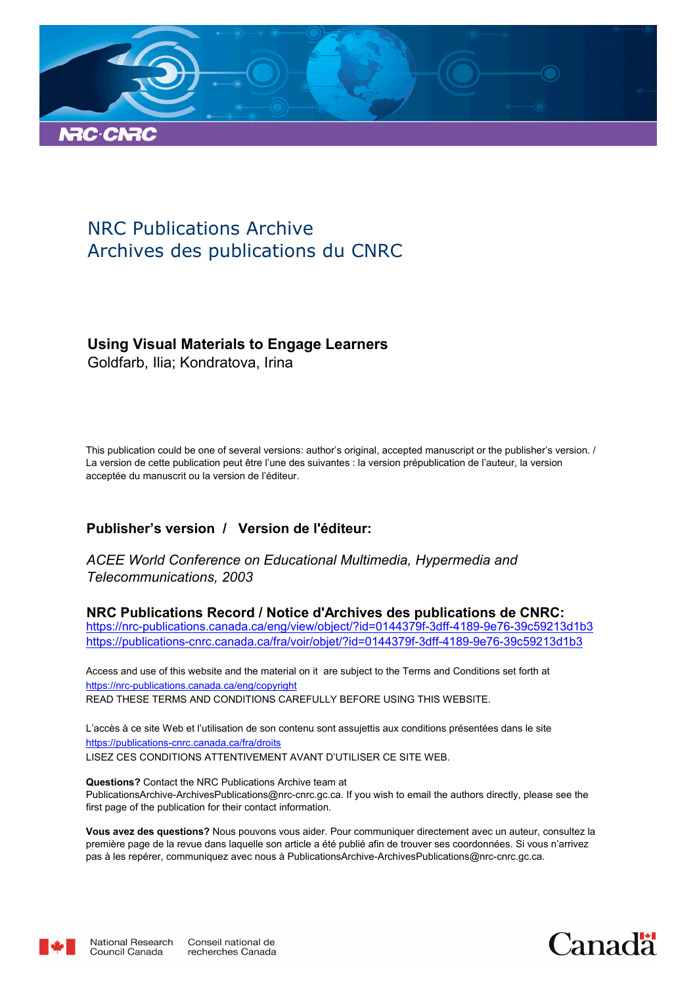

# NRC Publications Archive Archives des publications du CNRC

# **Using Visual Materials to Engage Learners**

Goldfarb, Ilia; Kondratova, Irina

This publication could be one of several versions: author's original, accepted manuscript or the publisher's version. / La version de cette publication peut être l'une des suivantes : la version prépublication de l'auteur, la version acceptée du manuscrit ou la version de l'éditeur.

# **Publisher's version / Version de l'éditeur:**

*ACEE World Conference on Educational Multimedia, Hypermedia and Telecommunications, 2003*

**NRC Publications Record / Notice d'Archives des publications de CNRC:** https://nrc-publications.canada.ca/eng/view/object/?id=0144379f-3dff-4189-9e76-39c59213d1b3 https://publications-cnrc.canada.ca/fra/voir/objet/?id=0144379f-3dff-4189-9e76-39c59213d1b3

READ THESE TERMS AND CONDITIONS CAREFULLY BEFORE USING THIS WEBSITE. https://nrc-publications.canada.ca/eng/copyright Access and use of this website and the material on it are subject to the Terms and Conditions set forth at

https://publications-cnrc.canada.ca/fra/droits L'accès à ce site Web et l'utilisation de son contenu sont assujettis aux conditions présentées dans le site LISEZ CES CONDITIONS ATTENTIVEMENT AVANT D'UTILISER CE SITE WEB.

**Questions?** Contact the NRC Publications Archive team at PublicationsArchive-ArchivesPublications@nrc-cnrc.gc.ca. If you wish to email the authors directly, please see the first page of the publication for their contact information.

**Vous avez des questions?** Nous pouvons vous aider. Pour communiquer directement avec un auteur, consultez la première page de la revue dans laquelle son article a été publié afin de trouver ses coordonnées. Si vous n'arrivez pas à les repérer, communiquez avec nous à PublicationsArchive-ArchivesPublications@nrc-cnrc.gc.ca.



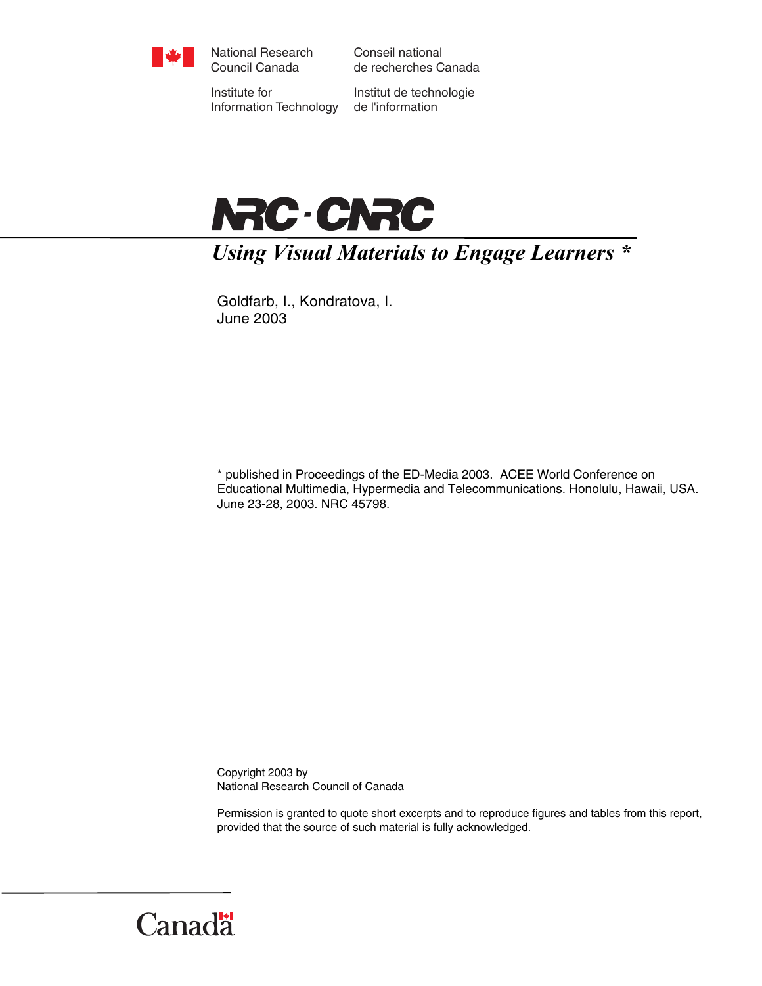

National Research Council Canada

Conseil national de recherches Canada

Institute for Information Technology

Institut de technologie de l'information



*Using Visual Materials to Engage Learners \** 

Goldfarb, I., Kondratova, I. June 2003

\* published in Proceedings of the ED-Media 2003. ACEE World Conference on Educational Multimedia, Hypermedia and Telecommunications. Honolulu, Hawaii, USA. June 23-28, 2003. NRC 45798.

Copyright 2003 by National Research Council of Canada

Permission is granted to quote short excerpts and to reproduce figures and tables from this report, provided that the source of such material is fully acknowledged.

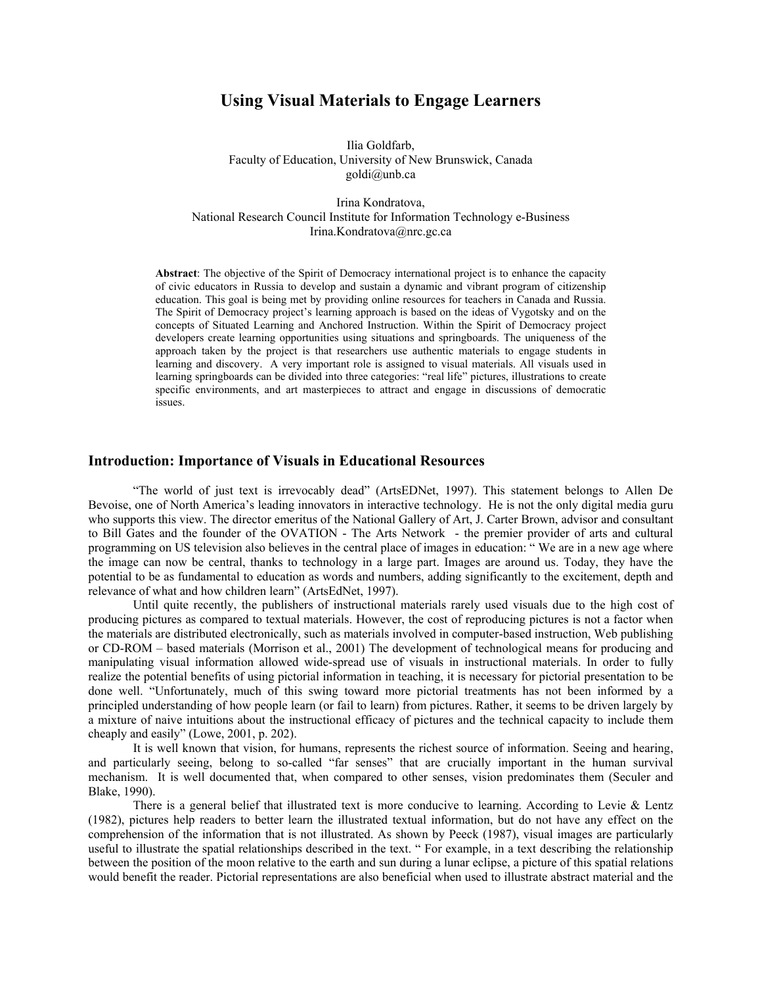# **Using Visual Materials to Engage Learners**

Ilia Goldfarb, Faculty of Education, University of New Brunswick, Canada goldi@unb.ca

Irina Kondratova, National Research Council Institute for Information Technology e-Business Irina.Kondratova@nrc.gc.ca

**Abstract**: The objective of the Spirit of Democracy international project is to enhance the capacity of civic educators in Russia to develop and sustain a dynamic and vibrant program of citizenship education. This goal is being met by providing online resources for teachers in Canada and Russia. The Spirit of Democracy project's learning approach is based on the ideas of Vygotsky and on the concepts of Situated Learning and Anchored Instruction. Within the Spirit of Democracy project developers create learning opportunities using situations and springboards. The uniqueness of the approach taken by the project is that researchers use authentic materials to engage students in learning and discovery. A very important role is assigned to visual materials. All visuals used in learning springboards can be divided into three categories: "real life" pictures, illustrations to create specific environments, and art masterpieces to attract and engage in discussions of democratic issues.

### **Introduction: Importance of Visuals in Educational Resources**

 "The world of just text is irrevocably dead" (ArtsEDNet, 1997). This statement belongs to Allen De Bevoise, one of North America's leading innovators in interactive technology. He is not the only digital media guru who supports this view. The director emeritus of the National Gallery of Art, J. Carter Brown, advisor and consultant to Bill Gates and the founder of the OVATION - The Arts Network - the premier provider of arts and cultural programming on US television also believes in the central place of images in education: " We are in a new age where the image can now be central, thanks to technology in a large part. Images are around us. Today, they have the potential to be as fundamental to education as words and numbers, adding significantly to the excitement, depth and relevance of what and how children learn" (ArtsEdNet, 1997).

Until quite recently, the publishers of instructional materials rarely used visuals due to the high cost of producing pictures as compared to textual materials. However, the cost of reproducing pictures is not a factor when the materials are distributed electronically, such as materials involved in computer-based instruction, Web publishing or CD-ROM – based materials (Morrison et al., 2001) The development of technological means for producing and manipulating visual information allowed wide-spread use of visuals in instructional materials. In order to fully realize the potential benefits of using pictorial information in teaching, it is necessary for pictorial presentation to be done well. "Unfortunately, much of this swing toward more pictorial treatments has not been informed by a principled understanding of how people learn (or fail to learn) from pictures. Rather, it seems to be driven largely by a mixture of naive intuitions about the instructional efficacy of pictures and the technical capacity to include them cheaply and easily" (Lowe, 2001, p. 202).

It is well known that vision, for humans, represents the richest source of information. Seeing and hearing, and particularly seeing, belong to so-called "far senses" that are crucially important in the human survival mechanism. It is well documented that, when compared to other senses, vision predominates them (Seculer and Blake, 1990).

There is a general belief that illustrated text is more conducive to learning. According to Levie & Lentz (1982), pictures help readers to better learn the illustrated textual information, but do not have any effect on the comprehension of the information that is not illustrated. As shown by Peeck (1987), visual images are particularly useful to illustrate the spatial relationships described in the text. " For example, in a text describing the relationship between the position of the moon relative to the earth and sun during a lunar eclipse, a picture of this spatial relations would benefit the reader. Pictorial representations are also beneficial when used to illustrate abstract material and the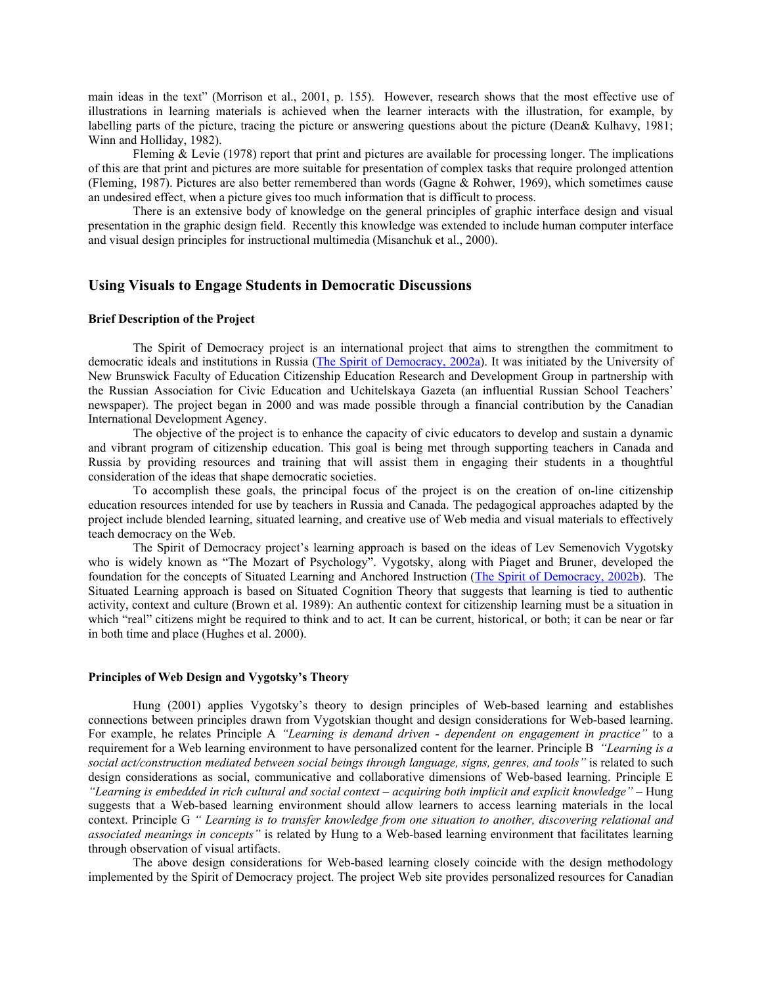main ideas in the text" (Morrison et al., 2001, p. 155). However, research shows that the most effective use of illustrations in learning materials is achieved when the learner interacts with the illustration, for example, by labelling parts of the picture, tracing the picture or answering questions about the picture (Dean& Kulhavy, 1981; Winn and Holliday, 1982).

Fleming & Levie (1978) report that print and pictures are available for processing longer. The implications of this are that print and pictures are more suitable for presentation of complex tasks that require prolonged attention (Fleming, 1987). Pictures are also better remembered than words (Gagne & Rohwer, 1969), which sometimes cause an undesired effect, when a picture gives too much information that is difficult to process.

There is an extensive body of knowledge on the general principles of graphic interface design and visual presentation in the graphic design field. Recently this knowledge was extended to include human computer interface and visual design principles for instructional multimedia (Misanchuk et al., 2000).

### **Using Visuals to Engage Students in Democratic Discussions**

#### **Brief Description of the Project**

 The Spirit of Democracy project is an international project that aims to strengthen the commitment to democratic ideals and institutions in Russia [\(The Spirit of Democracy, 2002a](http://www.unb.ca/democracy/Project/Project2.html)). It was initiated by the University of New Brunswick Faculty of Education Citizenship Education Research and Development Group in partnership with the Russian Association for Civic Education and Uchitelskaya Gazeta (an influential Russian School Teachers' newspaper). The project began in 2000 and was made possible through a financial contribution by the Canadian International Development Agency.

The objective of the project is to enhance the capacity of civic educators to develop and sustain a dynamic and vibrant program of citizenship education. This goal is being met through supporting teachers in Canada and Russia by providing resources and training that will assist them in engaging their students in a thoughtful consideration of the ideas that shape democratic societies.

To accomplish these goals, the principal focus of the project is on the creation of on-line citizenship education resources intended for use by teachers in Russia and Canada. The pedagogical approaches adapted by the project include blended learning, situated learning, and creative use of Web media and visual materials to effectively teach democracy on the Web.

The Spirit of Democracy project's learning approach is based on the ideas of Lev Semenovich Vygotsky who is widely known as "The Mozart of Psychology". Vygotsky, along with Piaget and Bruner, developed the foundation for the concepts of Situated Learning and Anchored Instruction ([The Spirit of Democracy, 2002b\)](http://www.unb.ca/democracy/Project/IdeasInDemocracy/SituatedLearning/SituatedLearning1.html). The Situated Learning approach is based on Situated Cognition Theory that suggests that learning is tied to authentic activity, context and culture (Brown et al. 1989): An authentic context for citizenship learning must be a situation in which "real" citizens might be required to think and to act. It can be current, historical, or both; it can be near or far in both time and place (Hughes et al. 2000).

#### **Principles of Web Design and Vygotsky's Theory**

Hung (2001) applies Vygotsky's theory to design principles of Web-based learning and establishes connections between principles drawn from Vygotskian thought and design considerations for Web-based learning. For example, he relates Principle A *"Learning is demand driven - dependent on engagement in practice"* to a requirement for a Web learning environment to have personalized content for the learner. Principle B *"Learning is a social act/construction mediated between social beings through language, signs, genres, and tools"* is related to such design considerations as social, communicative and collaborative dimensions of Web-based learning. Principle E *"Learning is embedded in rich cultural and social context – acquiring both implicit and explicit knowledge"* – Hung suggests that a Web-based learning environment should allow learners to access learning materials in the local context. Principle G *" Learning is to transfer knowledge from one situation to another, discovering relational and associated meanings in concepts"* is related by Hung to a Web-based learning environment that facilitates learning through observation of visual artifacts.

The above design considerations for Web-based learning closely coincide with the design methodology implemented by the Spirit of Democracy project. The project Web site provides personalized resources for Canadian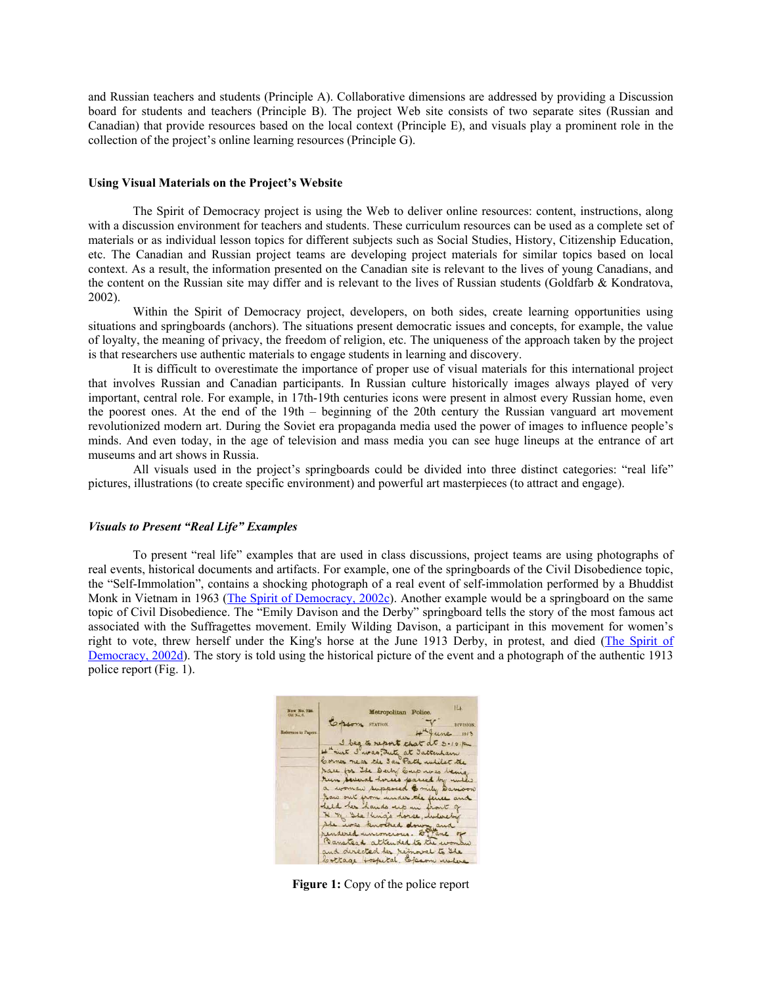and Russian teachers and students (Principle A). Collaborative dimensions are addressed by providing a Discussion board for students and teachers (Principle B). The project Web site consists of two separate sites (Russian and Canadian) that provide resources based on the local context (Principle E), and visuals play a prominent role in the collection of the project's online learning resources (Principle G).

#### **Using Visual Materials on the Project's Website**

The Spirit of Democracy project is using the Web to deliver online resources: content, instructions, along with a discussion environment for teachers and students. These curriculum resources can be used as a complete set of materials or as individual lesson topics for different subjects such as Social Studies, History, Citizenship Education, etc. The Canadian and Russian project teams are developing project materials for similar topics based on local context. As a result, the information presented on the Canadian site is relevant to the lives of young Canadians, and the content on the Russian site may differ and is relevant to the lives of Russian students (Goldfarb & Kondratova, 2002).

Within the Spirit of Democracy project, developers, on both sides, create learning opportunities using situations and springboards (anchors). The situations present democratic issues and concepts, for example, the value of loyalty, the meaning of privacy, the freedom of religion, etc. The uniqueness of the approach taken by the project is that researchers use authentic materials to engage students in learning and discovery.

It is difficult to overestimate the importance of proper use of visual materials for this international project that involves Russian and Canadian participants. In Russian culture historically images always played of very important, central role. For example, in 17th-19th centuries icons were present in almost every Russian home, even the poorest ones. At the end of the 19th – beginning of the 20th century the Russian vanguard art movement revolutionized modern art. During the Soviet era propaganda media used the power of images to influence people's minds. And even today, in the age of television and mass media you can see huge lineups at the entrance of art museums and art shows in Russia.

All visuals used in the project's springboards could be divided into three distinct categories: "real life" pictures, illustrations (to create specific environment) and powerful art masterpieces (to attract and engage).

#### *Visuals to Present "Real Life" Examples*

To present "real life" examples that are used in class discussions, project teams are using photographs of real events, historical documents and artifacts. For example, one of the springboards of the Civil Disobedience topic, the "Self-Immolation", contains a shocking photograph of a real event of self-immolation performed by a Bhuddist Monk in Vietnam in 1963 ([The Spirit of Democracy, 2002c](http://www.unb.ca/democracy/Project/IdeasInDemocracy/TheConsentOf/CivilDisobedience/CivilDisobedience9.html)). Another example would be a springboard on the same topic of Civil Disobedience. The "Emily Davison and the Derby" springboard tells the story of the most famous act associated with the Suffragettes movement. Emily Wilding Davison, a participant in this movement for women's right to vote, threw herself under the King's horse at the June 1913 Derby, in protest, and died [\(The Spirit of](http://www.unb.ca/democracy/Project/IdeasInDemocracy/TheConsentOf/CivilDisobedience/CivilDisobedience3.html)  [Democracy, 2002d](http://www.unb.ca/democracy/Project/IdeasInDemocracy/TheConsentOf/CivilDisobedience/CivilDisobedience3.html)). The story is told using the historical picture of the event and a photograph of the authentic 1913 police report (Fig. 1).



**Figure 1:** Copy of the police report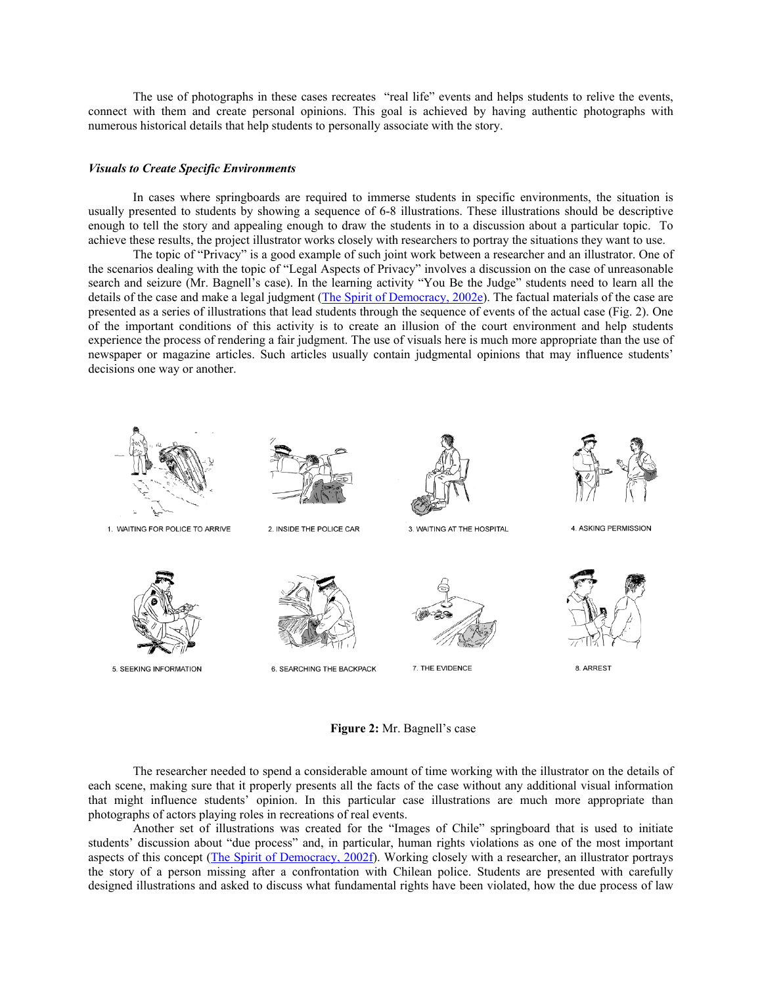The use of photographs in these cases recreates "real life" events and helps students to relive the events, connect with them and create personal opinions. This goal is achieved by having authentic photographs with numerous historical details that help students to personally associate with the story.

#### *Visuals to Create Specific Environments*

In cases where springboards are required to immerse students in specific environments, the situation is usually presented to students by showing a sequence of 6-8 illustrations. These illustrations should be descriptive enough to tell the story and appealing enough to draw the students in to a discussion about a particular topic. To achieve these results, the project illustrator works closely with researchers to portray the situations they want to use.

The topic of "Privacy" is a good example of such joint work between a researcher and an illustrator. One of the scenarios dealing with the topic of "Legal Aspects of Privacy" involves a discussion on the case of unreasonable search and seizure (Mr. Bagnell's case). In the learning activity "You Be the Judge" students need to learn all the details of the case and make a legal judgment ([The Spirit of Democracy, 2002e](http://www.unb.ca/democracy/Project/IdeasInDemocracy/privacy/LegalPrivacy/LegalPrivacy2.html)). The factual materials of the case are presented as a series of illustrations that lead students through the sequence of events of the actual case (Fig. 2). One of the important conditions of this activity is to create an illusion of the court environment and help students experience the process of rendering a fair judgment. The use of visuals here is much more appropriate than the use of newspaper or magazine articles. Such articles usually contain judgmental opinions that may influence students' decisions one way or another.



**Figure 2:** Mr. Bagnell's case

The researcher needed to spend a considerable amount of time working with the illustrator on the details of each scene, making sure that it properly presents all the facts of the case without any additional visual information that might influence students' opinion. In this particular case illustrations are much more appropriate than photographs of actors playing roles in recreations of real events.

Another set of illustrations was created for the "Images of Chile" springboard that is used to initiate students' discussion about "due process" and, in particular, human rights violations as one of the most important aspects of this concept [\(The Spirit of Democracy, 2002f\)](http://www.unb.ca/democracy/Project/IdeasInDemocracy/dueProcess/ImagesOfChile/ImagesOfChile.html). Working closely with a researcher, an illustrator portrays the story of a person missing after a confrontation with Chilean police. Students are presented with carefully designed illustrations and asked to discuss what fundamental rights have been violated, how the due process of law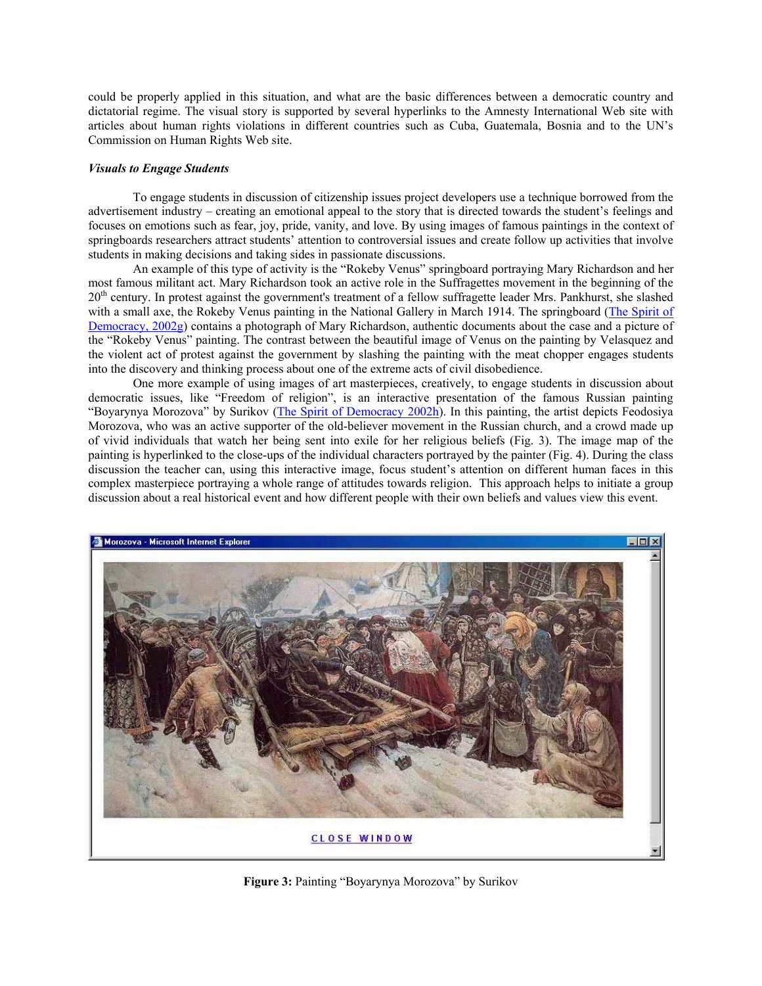could be properly applied in this situation, and what are the basic differences between a democratic country and dictatorial regime. The visual story is supported by several hyperlinks to the Amnesty International Web site with articles about human rights violations in different countries such as Cuba, Guatemala, Bosnia and to the UN's Commission on Human Rights Web site.

#### *Visuals to Engage Students*

To engage students in discussion of citizenship issues project developers use a technique borrowed from the advertisement industry – creating an emotional appeal to the story that is directed towards the student's feelings and focuses on emotions such as fear, joy, pride, vanity, and love. By using images of famous paintings in the context of springboards researchers attract students' attention to controversial issues and create follow up activities that involve students in making decisions and taking sides in passionate discussions.

An example of this type of activity is the "Rokeby Venus" springboard portraying Mary Richardson and her most famous militant act. Mary Richardson took an active role in the Suffragettes movement in the beginning of the  $20<sup>th</sup>$  century. In protest against the government's treatment of a fellow suffragette leader Mrs. Pankhurst, she slashed with a small axe, the Rokeby Venus painting in the National Gallery in March 1914. The springboard (The Spirit of [Democracy, 2002g](http://www.unb.ca/democracy/Project/IdeasInDemocracy/TheConsentOf/CivilDisobedience/CivilDisobedience4.html)) contains a photograph of Mary Richardson, authentic documents about the case and a picture of the "Rokeby Venus" painting. The contrast between the beautiful image of Venus on the painting by Velasquez and the violent act of protest against the government by slashing the painting with the meat chopper engages students into the discovery and thinking process about one of the extreme acts of civil disobedience.

One more example of using images of art masterpieces, creatively, to engage students in discussion about democratic issues, like "Freedom of religion", is an interactive presentation of the famous Russian painting "Boyarynya Morozova" by Surikov ([The Spirit of Democracy 2002h\)](http://www.unb.ca/democracy/Project/IncludeIdeas/RecentExamples/workshopFreedoms/FundamentalFreedoms.htm). In this painting, the artist depicts Feodosiya Morozova, who was an active supporter of the old-believer movement in the Russian church, and a crowd made up of vivid individuals that watch her being sent into exile for her religious beliefs (Fig. 3). The image map of the painting is hyperlinked to the close-ups of the individual characters portrayed by the painter (Fig. 4). During the class discussion the teacher can, using this interactive image, focus student's attention on different human faces in this complex masterpiece portraying a whole range of attitudes towards religion. This approach helps to initiate a group discussion about a real historical event and how different people with their own beliefs and values view this event.



**Figure 3:** Painting "Boyarynya Morozova" by Surikov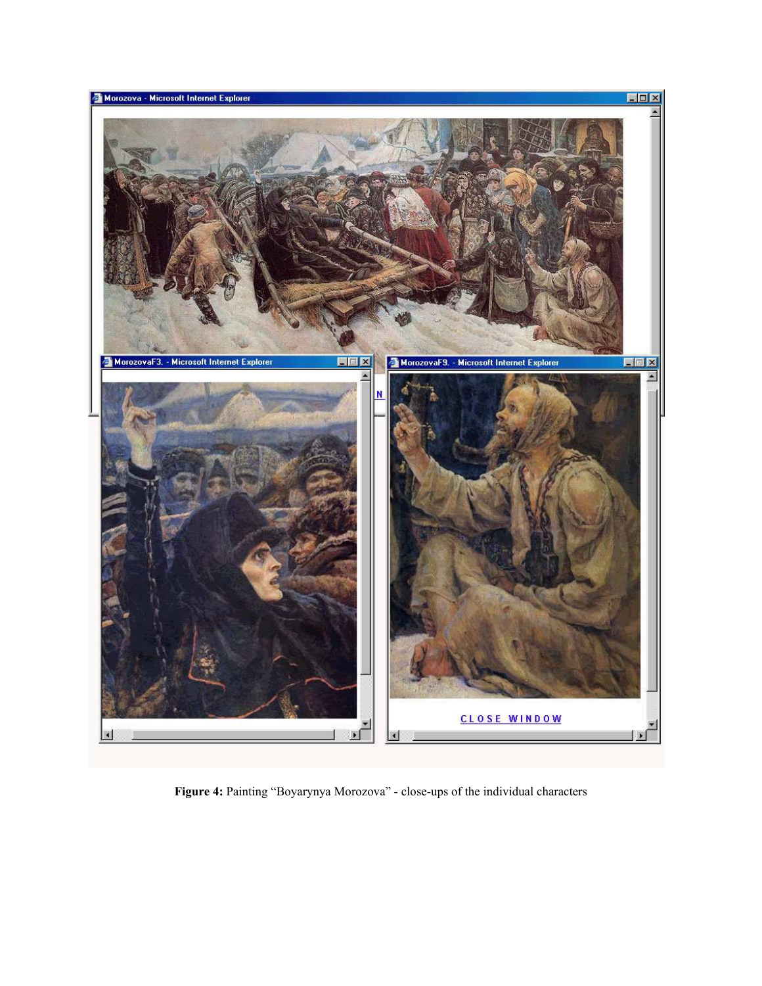

**Figure 4:** Painting "Boyarynya Morozova" - close-ups of the individual characters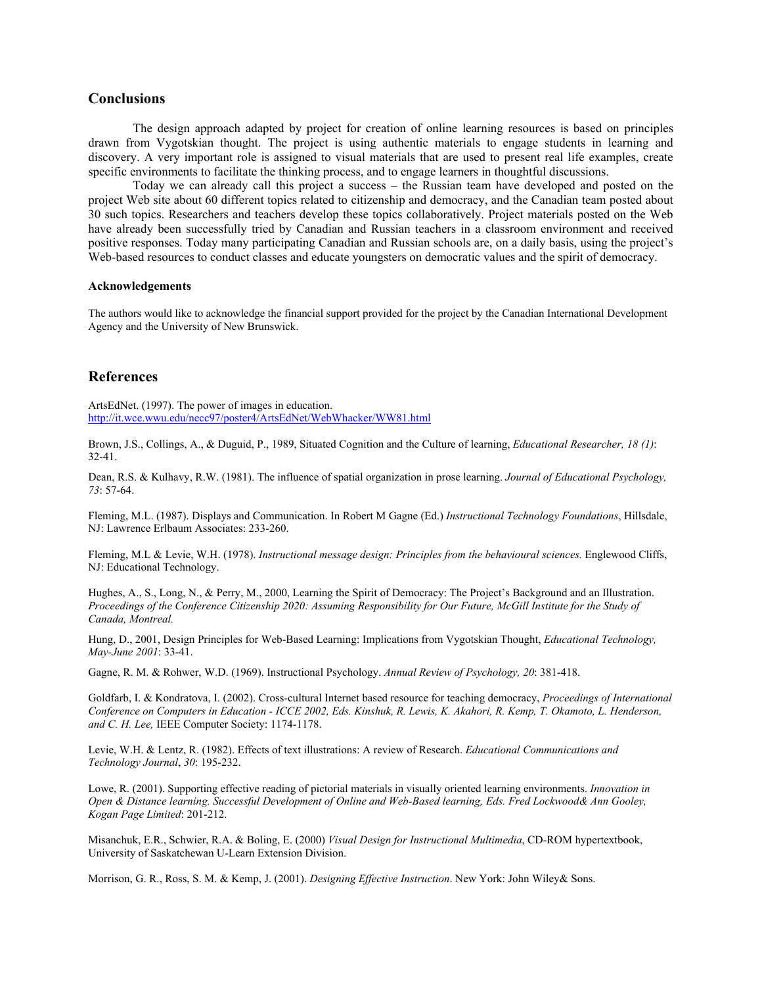## **Conclusions**

The design approach adapted by project for creation of online learning resources is based on principles drawn from Vygotskian thought. The project is using authentic materials to engage students in learning and discovery. A very important role is assigned to visual materials that are used to present real life examples, create specific environments to facilitate the thinking process, and to engage learners in thoughtful discussions.

Today we can already call this project a success – the Russian team have developed and posted on the project Web site about 60 different topics related to citizenship and democracy, and the Canadian team posted about 30 such topics. Researchers and teachers develop these topics collaboratively. Project materials posted on the Web have already been successfully tried by Canadian and Russian teachers in a classroom environment and received positive responses. Today many participating Canadian and Russian schools are, on a daily basis, using the project's Web-based resources to conduct classes and educate youngsters on democratic values and the spirit of democracy.

#### **Acknowledgements**

The authors would like to acknowledge the financial support provided for the project by the Canadian International Development Agency and the University of New Brunswick.

# **References**

ArtsEdNet. (1997). The power of images in education. <http://it.wce.wwu.edu/necc97/poster4/ArtsEdNet/WebWhacker/WW81.html>

Brown, J.S., Collings, A., & Duguid, P., 1989, Situated Cognition and the Culture of learning, *Educational Researcher, 18 (1)*: 32-41.

Dean, R.S. & Kulhavy, R.W. (1981). The influence of spatial organization in prose learning. *Journal of Educational Psychology, 73*: 57-64.

Fleming, M.L. (1987). Displays and Communication. In Robert M Gagne (Ed.) *Instructional Technology Foundations*, Hillsdale, NJ: Lawrence Erlbaum Associates: 233-260.

Fleming, M.L & Levie, W.H. (1978). *Instructional message design: Principles from the behavioural sciences.* Englewood Cliffs, NJ: Educational Technology.

Hughes, A., S., Long, N., & Perry, M., 2000, Learning the Spirit of Democracy: The Project's Background and an Illustration. *Proceedings of the Conference Citizenship 2020: Assuming Responsibility for Our Future, McGill Institute for the Study of Canada, Montreal.* 

Hung, D., 2001, Design Principles for Web-Based Learning: Implications from Vygotskian Thought, *Educational Technology, May-June 2001*: 33-41.

Gagne, R. M. & Rohwer, W.D. (1969). Instructional Psychology. *Annual Review of Psychology, 20*: 381-418.

Goldfarb, I. & Kondratova, I. (2002). Cross-cultural Internet based resource for teaching democracy, *Proceedings of International Conference on Computers in Education - ICCE 2002, Eds. Kinshuk, R. Lewis, K. Akahori, R. Kemp, T. Okamoto, L. Henderson, and C. H. Lee,* IEEE Computer Society: 1174-1178.

Levie, W.H. & Lentz, R. (1982). Effects of text illustrations: A review of Research. *Educational Communications and Technology Journal*, *30*: 195-232.

Lowe, R. (2001). Supporting effective reading of pictorial materials in visually oriented learning environments. *Innovation in Open & Distance learning. Successful Development of Online and Web-Based learning, Eds. Fred Lockwood& Ann Gooley, Kogan Page Limited*: 201-212.

Misanchuk, E.R., Schwier, R.A. & Boling, E. (2000) *Visual Design for Instructional Multimedia*, CD-ROM hypertextbook, University of Saskatchewan U-Learn Extension Division.

Morrison, G. R., Ross, S. M. & Kemp, J. (2001). *Designing Effective Instruction*. New York: John Wiley& Sons.